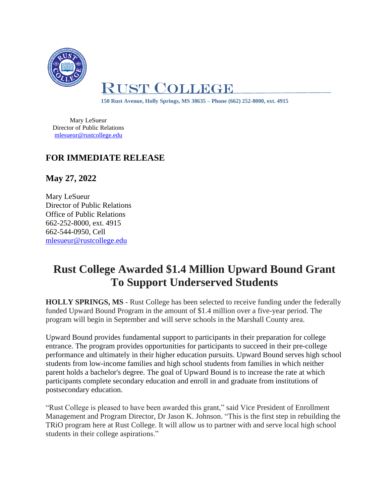

**150 Rust Avenue, Holly Springs, MS 38635 – Phone (662) 252-8000, ext. 4915**

Mary LeSueur Director of Public Relations [mlesueur@rustcollege.edu](mailto:mlesueur@rustcollege.edu)

## **FOR IMMEDIATE RELEASE**

## **May 27, 2022**

Mary LeSueur Director of Public Relations Office of Public Relations 662-252-8000, ext. 4915 662-544-0950, Cell [mlesueur@rustcollege.edu](mailto:mlesueur@rustcollege.edu)

## **Rust College Awarded \$1.4 Million Upward Bound Grant To Support Underserved Students**

**HOLLY SPRINGS, MS** - Rust College has been selected to receive funding under the federally funded Upward Bound Program in the amount of \$1.4 million over a five-year period. The program will begin in September and will serve schools in the Marshall County area.

Upward Bound provides fundamental support to participants in their preparation for college entrance. The program provides opportunities for participants to succeed in their pre-college performance and ultimately in their higher education pursuits. Upward Bound serves high school students from low-income families and high school students from families in which neither parent holds a bachelor's degree. The goal of Upward Bound is to increase the rate at which participants complete secondary education and enroll in and graduate from institutions of postsecondary education.

"Rust College is pleased to have been awarded this grant," said Vice President of Enrollment Management and Program Director, Dr Jason K. Johnson. "This is the first step in rebuilding the TRiO program here at Rust College. It will allow us to partner with and serve local high school students in their college aspirations."